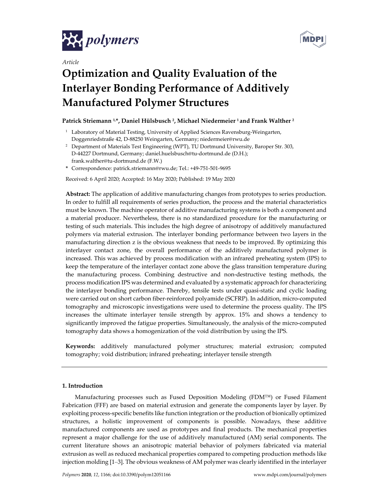

*Article*



# **Optimization and Quality Evaluation of the Interlayer Bonding Performance of Additively Manufactured Polymer Structures**

## **Patrick Striemann 1,\*, Daniel Hülsbusch 2, Michael Niedermeier <sup>1</sup> and Frank Walther <sup>2</sup>**

- <sup>1</sup> Laboratory of Material Testing, University of Applied Sciences Ravensburg-Weingarten, Doggenriedstraße 42, D‐88250 Weingarten, Germany; niedermeier@rwu.de
- <sup>2</sup> Department of Materials Test Engineering (WPT), TU Dortmund University, Baroper Str. 303, D‐44227 Dortmund, Germany; daniel.huelsbusch@tu‐dortmund.de (D.H.); frank.walther@tu‐dortmund.de (F.W.)
- **\*** Correspondence: patrick.striemann@rwu.de; Tel.: +49‐751‐501‐9695

Received: 6 April 2020; Accepted: 16 May 2020; Published: 19 May 2020

**Abstract:** The application of additive manufacturing changes from prototypes to series production. In order to fulfill all requirements of series production, the process and the material characteristics must be known. The machine operator of additive manufacturing systems is both a component and a material producer. Nevertheless, there is no standardized procedure for the manufacturing or testing of such materials. This includes the high degree of anisotropy of additively manufactured polymers via material extrusion. The interlayer bonding performance between two layers in the manufacturing direction z is the obvious weakness that needs to be improved. By optimizing this interlayer contact zone, the overall performance of the additively manufactured polymer is increased. This was achieved by process modification with an infrared preheating system (IPS) to keep the temperature of the interlayer contact zone above the glass transition temperature during the manufacturing process. Combining destructive and non‐destructive testing methods, the process modification IPS was determined and evaluated by a systematic approach for characterizing the interlayer bonding performance. Thereby, tensile tests under quasi-static and cyclic loading were carried out on short carbon fiber-reinforced polyamide (SCFRP). In addition, micro-computed tomography and microscopic investigations were used to determine the process quality. The IPS increases the ultimate interlayer tensile strength by approx. 15% and shows a tendency to significantly improved the fatigue properties. Simultaneously, the analysis of the micro-computed tomography data shows a homogenization of the void distribution by using the IPS.

**Keywords:** additively manufactured polymer structures; material extrusion; computed tomography; void distribution; infrared preheating; interlayer tensile strength

## **1. Introduction**

Manufacturing processes such as Fused Deposition Modeling (FDM™) or Fused Filament Fabrication (FFF) are based on material extrusion and generate the components layer by layer. By exploiting process‐specific benefits like function integration orthe production of bionically optimized structures, a holistic improvement of components is possible. Nowadays, these additive manufactured components are used as prototypes and final products. The mechanical properties represent a major challenge for the use of additively manufactured (AM) serial components. The current literature shows an anisotropic material behavior of polymers fabricated via material extrusion as well as reduced mechanical properties compared to competing production methods like injection molding [1–3]. The obvious weakness of AM polymer was clearly identified in the interlayer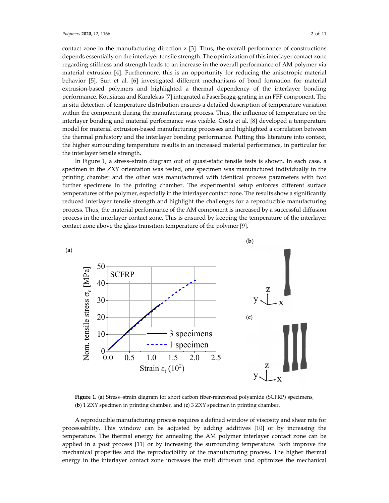contact zone in the manufacturing direction z [3]. Thus, the overall performance of constructions depends essentially on the interlayer tensile strength. The optimization of this interlayer contact zone regarding stiffness and strength leads to an increase in the overall performance of AM polymer via material extrusion [4]. Furthermore, this is an opportunity for reducing the anisotropic material behavior [5]. Sun et al. [6] investigated different mechanisms of bond formation for material extrusion-based polymers and highlighted a thermal dependency of the interlayer bonding performance. Kousiatza and Karalekas [7] integrated a FaserBragg‐grating in an FFF component. The in situ detection of temperature distribution ensures a detailed description of temperature variation within the component during the manufacturing process. Thus, the influence of temperature on the interlayer bonding and material performance was visible. Costa et al. [8] developed a temperature model for material extrusion‐based manufacturing processes and highlighted a correlation between the thermal prehistory and the interlayer bonding performance. Putting this literature into context, the higher surrounding temperature results in an increased material performance, in particular for the interlayer tensile strength.

In Figure 1, a stress–strain diagram out of quasi‐static tensile tests is shown. In each case, a specimen in the ZXY orientation was tested, one specimen was manufactured individually in the printing chamber and the other was manufactured with identical process parameters with two further specimens in the printing chamber. The experimental setup enforces different surface temperatures of the polymer, especially in the interlayer contact zone. The results show a significantly reduced interlayer tensile strength and highlight the challenges for a reproducible manufacturing process. Thus, the material performance of the AM component is increased by a successful diffusion process in the interlayer contact zone. This is ensured by keeping the temperature of the interlayer contact zone above the glass transition temperature of the polymer [9].



Figure 1. (a) Stress-strain diagram for short carbon fiber-reinforced polyamide (SCFRP) specimens, (**b**) 1 ZXY specimen in printing chamber, and (**c**) 3 ZXY specimen in printing chamber.

A reproducible manufacturing process requires a defined window of viscosity and shear rate for processability. This window can be adjusted by adding additives [10] or by increasing the temperature. The thermal energy for annealing the AM polymer interlayer contact zone can be applied in a post process [11] or by increasing the surrounding temperature. Both improve the mechanical properties and the reproducibility of the manufacturing process. The higher thermal energy in the interlayer contact zone increases the melt diffusion und optimizes the mechanical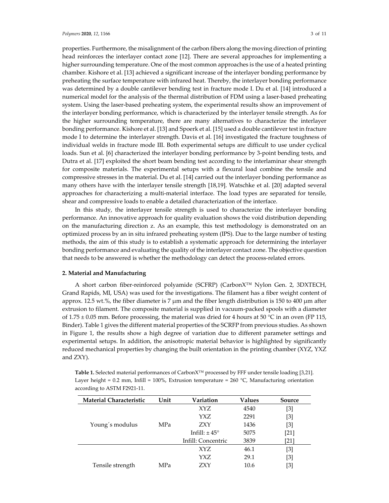#### *Polymers* **2020**, *12*, 1166 3 of 11

properties. Furthermore, the misalignment of the carbon fibers along the moving direction of printing head reinforces the interlayer contact zone [12]. There are several approaches for implementing a higher surrounding temperature. One of the most common approaches is the use of a heated printing chamber. Kishore et al. [13] achieved a significant increase of the interlayer bonding performance by preheating the surface temperature with infrared heat. Thereby, the interlayer bonding performance was determined by a double cantilever bending test in fracture mode I. Du et al. [14] introduced a numerical model for the analysis of the thermal distribution of FDM using a laser-based preheating system. Using the laser-based preheating system, the experimental results show an improvement of the interlayer bonding performance, which is characterized by the interlayer tensile strength. As for the higher surrounding temperature, there are many alternatives to characterize the interlayer bonding performance. Kishore et al. [13] and Spoerk et al. [15] used a double cantilever test in fracture mode I to determine the interlayer strength. Davis et al. [16] investigated the fracture toughness of individual welds in fracture mode III. Both experimental setups are difficult to use under cyclical loads. Sun et al. [6] characterized the interlayer bonding performance by 3‐point bending tests, and Dutra et al. [17] exploited the short beam bending test according to the interlaminar shear strength for composite materials. The experimental setups with a flexural load combine the tensile and compressive stresses in the material. Du et al. [14] carried out the interlayer bonding performance as many others have with the interlayer tensile strength [18,19]. Watschke et al. [20] adapted several approaches for characterizing a multi-material interface. The load types are separated for tensile, shear and compressive loads to enable a detailed characterization of the interface.

In this study, the interlayer tensile strength is used to characterize the interlayer bonding performance. An innovative approach for quality evaluation shows the void distribution depending on the manufacturing direction z. As an example, this test methodology is demonstrated on an optimized process by an in situ infrared preheating system (IPS). Due to the large number of testing methods, the aim of this study is to establish a systematic approach for determining the interlayer bonding performance and evaluating the quality of the interlayer contact zone. The objective question that needs to be answered is whether the methodology can detect the process-related errors.

### **2. Material and Manufacturing**

A short carbon fiber-reinforced polyamide (SCFRP) (CarbonX™ Nylon Gen. 2, 3DXTECH, Grand Rapids, MI, USA) was used for the investigations. The filament has a fiber weight content of approx. 12.5 wt.%, the fiber diameter is 7  $\mu$ m and the fiber length distribution is 150 to 400  $\mu$ m after extrusion to filament. The composite material is supplied in vacuum-packed spools with a diameter of 1.75  $\pm$  0.05 mm. Before processing, the material was dried for 4 hours at 50 °C in an oven (FP 115, Binder). Table 1 gives the different material properties of the SCRFP from previous studies. As shown in Figure 1, the results show a high degree of variation due to different parameter settings and experimental setups. In addition, the anisotropic material behavior is highlighted by significantly reduced mechanical properties by changing the built orientation in the printing chamber (XYZ, YXZ and ZXY).

| <b>Material Characteristic</b> | Unit | Variation          | <b>Values</b> | Source |
|--------------------------------|------|--------------------|---------------|--------|
|                                |      | XYZ.               | 4540          | [3]    |
|                                |      | YXZ                | 2291          | [3]    |
| Young's modulus                | MPa  | ZXY                | 1436          | [3]    |
|                                |      | Infill: $\pm$ 45°  | 5075          | [21]   |
|                                |      | Infill: Concentric | 3839          | [21]   |
|                                |      | XYZ                | 46.1          | [3]    |
|                                |      | YXZ                | 29.1          | [3]    |
| Tensile strength               | MPa  | <b>ZXY</b>         | 10.6          | [3]    |

**Table 1.** Selected material performances of CarbonX™ processed by FFF under tensile loading [3,21]. Layer height =  $0.2$  mm, Infill =  $100\%$ , Extrusion temperature =  $260$  °C, Manufacturing orientation according to ASTM F2921‐11.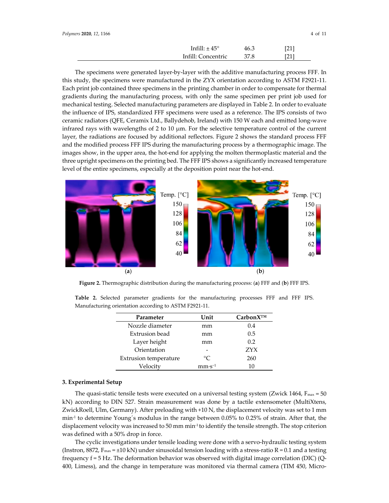| Infill: $\pm$ 45 $^{\circ}$ | 46.3 | [21] |
|-----------------------------|------|------|
| Infill: Concentric          | 37.8 | [21] |

The specimens were generated layer-by-layer with the additive manufacturing process FFF. In this study, the specimens were manufactured in the ZYX orientation according to ASTM F2921‐11. Each print job contained three specimens in the printing chamber in order to compensate for thermal gradients during the manufacturing process, with only the same specimen per print job used for mechanical testing. Selected manufacturing parameters are displayed in Table 2. In order to evaluate the influence of IPS, standardized FFF specimens were used as a reference. The IPS consists of two ceramic radiators (QFE, Ceramix Ltd., Ballydehob, Ireland) with 150 W each and emitted long‐wave infrared rays with wavelengths of 2 to 10 μm. For the selective temperature control of the current layer, the radiations are focused by additional reflectors. Figure 2 shows the standard process FFF and the modified process FFF IPS during the manufacturing process by a thermographic image. The images show, in the upper area, the hot-end for applying the molten thermoplastic material and the three upright specimens on the printing bed. The FFF IPS shows a significantly increased temperature level of the entire specimens, especially at the deposition point near the hot-end.



**Figure 2.** Thermographic distribution during the manufacturing process: (**a**) FFF and (**b**) FFF IPS.

**Table 2.** Selected parameter gradients for the manufacturing processes FFF and FFF IPS. Manufacturing orientation according to ASTM F2921‐11.

| Parameter             | Unit      | $CarbonX^{TM}$   |
|-----------------------|-----------|------------------|
| Nozzle diameter       | mm        | 0.4              |
| Extrusion bead        | mm        | 0.5              |
| Layer height          | mm        | 0.2              |
| Orientation           |           | ZYX <sup>3</sup> |
| Extrusion temperature | $\circ$ C | 260              |
| Velocitv              | $mm·s-1$  | 10               |

#### **3. Experimental Setup**

The quasi-static tensile tests were executed on a universal testing system (Zwick 1464,  $F_{\text{max}} = 50$ kN) according to DIN 527. Strain measurement was done by a tactile extensometer (MultiXtens, ZwickRoell, Ulm, Germany). After preloading with +10 N, the displacement velocity was set to 1 mm min<sup>-1</sup> to determine Young's modulus in the range between 0.05% to 0.25% of strain. After that, the displacement velocity was increased to 50 mm min<sup>1</sup> to identify the tensile strength. The stop criterion was defined with a 50% drop in force.

The cyclic investigations under tensile loading were done with a servo‐hydraulic testing system (Instron, 8872,  $F_{\text{max}} = \pm 10$  kN) under sinusoidal tension loading with a stress-ratio R = 0.1 and a testing frequency f = 5 Hz. The deformation behavior was observed with digital image correlation (DIC) (Q‐ 400, Limess), and the change in temperature was monitored via thermal camera (TIM 450, Micro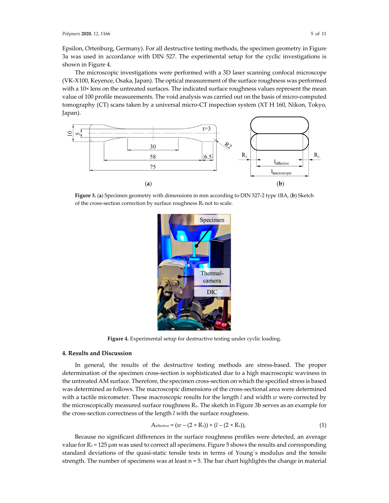Epsilon, Ortenburg, Germany). For all destructive testing methods, the specimen geometry in Figure 3a was used in accordance with DIN 527. The experimental setup for the cyclic investigations is shown in Figure 4.

The microscopic investigations were performed with a 3D laser scanning confocal microscope (VK‐X100, Keyence, Osaka, Japan). The optical measurement of the surface roughness was performed with a 10× lens on the untreated surfaces. The indicated surface roughness values represent the mean value of 100 profile measurements. The void analysis was carried out on the basis of micro‐computed tomography (CT) scans taken by a universal micro‐CT inspection system (XT H 160, Nikon, Tokyo, Japan).



**Figure 3.** (**a**) Specimen geometry with dimensions in mm according to DIN 527‐2 type 1BA, (**b**) Sketch of the cross-section correction by surface roughness R<sub>z</sub> not to scale.



**Figure 4.** Experimental setup for destructive testing under cyclic loading.

#### **4. Results and Discussion**

In general, the results of the destructive testing methods are stress-based. The proper determination of the specimen cross‐section is sophisticated due to a high macroscopic waviness in the untreated AM surface. Therefore, the specimen cross-section on which the specified stress is based was determined as follows. The macroscopic dimensions of the cross-sectional area were determined with a tactile micrometer. These macroscopic results for the length *l* and width *w* were corrected by the microscopically measured surface roughness Rz. The sketch in Figure 3b serves as an example for the cross‐section correctness of the length *l* with the surface roughness.

$$
A_{effective} = (w - (2 \times R_z)) \times (l - (2 \times R_z)),
$$
\n(1)

Because no significant differences in the surface roughness profiles were detected, an average value for  $R_z = 125 \mu m$  was used to correct all specimens. Figure 5 shows the results and corresponding standard deviations of the quasi-static tensile tests in terms of Young's modulus and the tensile strength. The number of specimens was at least  $n = 5$ . The bar chart highlights the change in material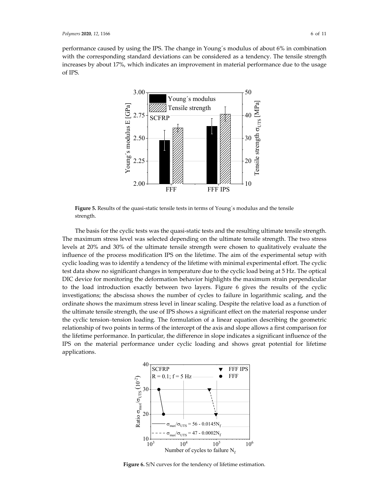performance caused by using the IPS. The change in Young´s modulus of about 6% in combination with the corresponding standard deviations can be considered as a tendency. The tensile strength increases by about 17%, which indicates an improvement in material performance due to the usage of IPS.



**Figure 5.** Results of the quasi‐static tensile tests in terms of Young´s modulus and the tensile strength.

The basis for the cyclic tests was the quasi-static tests and the resulting ultimate tensile strength. The maximum stress level was selected depending on the ultimate tensile strength. The two stress levels at 20% and 30% of the ultimate tensile strength were chosen to qualitatively evaluate the influence of the process modification IPS on the lifetime. The aim of the experimental setup with cyclic loading was to identify a tendency of the lifetime with minimal experimental effort. The cyclic test data show no significant changes in temperature due to the cyclic load being at 5 Hz. The optical DIC device for monitoring the deformation behavior highlights the maximum strain perpendicular to the load introduction exactly between two layers. Figure 6 gives the results of the cyclic investigations; the abscissa shows the number of cycles to failure in logarithmic scaling, and the ordinate shows the maximum stress level in linear scaling. Despite the relative load as a function of the ultimate tensile strength, the use of IPS shows a significant effect on the material response under the cyclic tension–tension loading. The formulation of a linear equation describing the geometric relationship of two points in terms of the intercept of the axis and slope allows a first comparison for the lifetime performance. In particular, the difference in slope indicates a significant influence of the IPS on the material performance under cyclic loading and shows great potential for lifetime applications.



**Figure 6.** S/N curves for the tendency of lifetime estimation.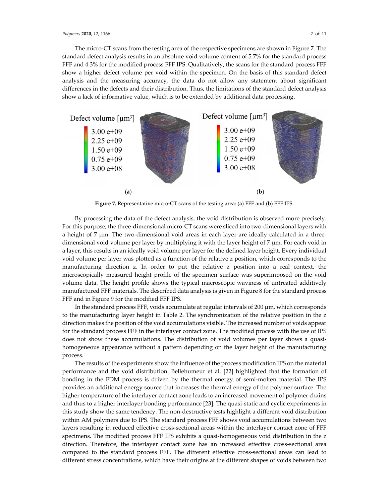The micro‐CT scans from the testing area of the respective specimens are shown in Figure 7. The standard defect analysis results in an absolute void volume content of 5.7% for the standard process FFF and 4.3% for the modified process FFF IPS. Qualitatively, the scans for the standard process FFF show a higher defect volume per void within the specimen. On the basis of this standard defect analysis and the measuring accuracy, the data do not allow any statement about significant differences in the defects and their distribution. Thus, the limitations of the standard defect analysis show a lack of informative value, which is to be extended by additional data processing.



**Figure 7.** Representative micro‐CT scans of the testing area: (**a**) FFF and (**b**) FFF IPS.

By processing the data of the defect analysis, the void distribution is observed more precisely. For this purpose, the three-dimensional micro-CT scans were sliced into two-dimensional layers with a height of 7  $\mu$ m. The two-dimensional void areas in each layer are ideally calculated in a threedimensional void volume per layer by multiplying it with the layer height of 7 μm. For each void in a layer, this results in an ideally void volume per layer for the defined layer height. Every individual void volume per layer was plotted as a function of the relative z position, which corresponds to the manufacturing direction z. In order to put the relative z position into a real context, the microscopically measured height profile of the specimen surface was superimposed on the void volume data. The height profile shows the typical macroscopic waviness of untreated additively manufactured FFF materials. The described data analysis is given in Figure 8 for the standard process FFF and in Figure 9 for the modified FFF IPS.

In the standard process FFF, voids accumulate at regular intervals of 200 μm, which corresponds to the manufacturing layer height in Table 2. The synchronization of the relative position in the z direction makes the position of the void accumulations visible. The increased number of voids appear for the standard process FFF in the interlayer contact zone. The modified process with the use of IPS does not show these accumulations. The distribution of void volumes per layer shows a quasihomogeneous appearance without a pattern depending on the layer height of the manufacturing process.

The results of the experiments show the influence of the process modification IPS on the material performance and the void distribution. Bellehumeur et al. [22] highlighted that the formation of bonding in the FDM process is driven by the thermal energy of semi-molten material. The IPS provides an additional energy source that increases the thermal energy of the polymer surface. The higher temperature of the interlayer contact zone leads to an increased movement of polymer chains and thus to a higher interlayer bonding performance [23]. The quasi-static and cyclic experiments in this study show the same tendency. The non‐destructive tests highlight a different void distribution within AM polymers due to IPS. The standard process FFF shows void accumulations between two layers resulting in reduced effective cross-sectional areas within the interlayer contact zone of FFF specimens. The modified process FFF IPS exhibits a quasi-homogeneous void distribution in the z direction. Therefore, the interlayer contact zone has an increased effective cross‐sectional area compared to the standard process FFF. The different effective cross‐sectional areas can lead to different stress concentrations, which have their origins at the different shapes of voids between two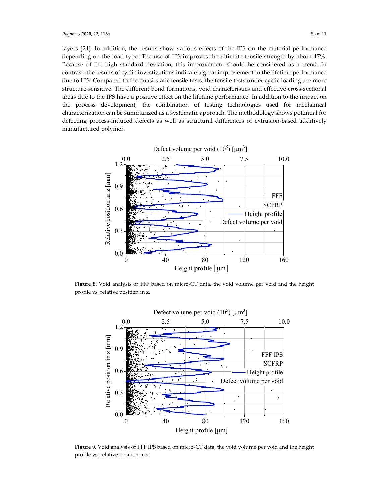layers [24]. In addition, the results show various effects of the IPS on the material performance depending on the load type. The use of IPS improves the ultimate tensile strength by about 17%. Because of the high standard deviation, this improvement should be considered as a trend. In contrast, the results of cyclic investigations indicate a great improvement in the lifetime performance due to IPS. Compared to the quasi-static tensile tests, the tensile tests under cyclic loading are more structure-sensitive. The different bond formations, void characteristics and effective cross-sectional areas due to the IPS have a positive effect on the lifetime performance. In addition to the impact on the process development, the combination of testing technologies used for mechanical characterization can be summarized as a systematic approach. The methodology shows potential for detecting process-induced defects as well as structural differences of extrusion-based additively manufactured polymer.



**Figure 8.** Void analysis of FFF based on micro‐CT data, the void volume per void and the height profile vs. relative position in z.



**Figure 9.** Void analysis of FFF IPS based on micro‐CT data, the void volume per void and the height profile vs. relative position in z.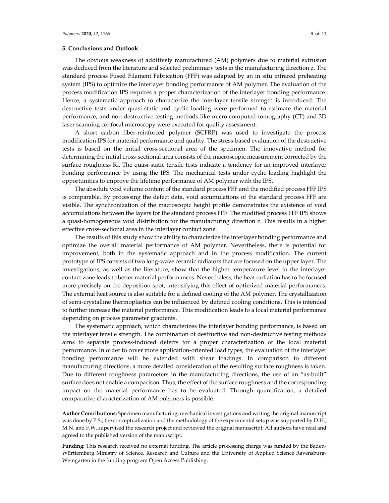#### **5. Conclusions and Outlook**

The obvious weakness of additively manufactured (AM) polymers due to material extrusion was deduced from the literature and selected preliminary tests in the manufacturing direction z. The standard process Fused Filament Fabrication (FFF) was adapted by an in situ infrared preheating system (IPS) to optimize the interlayer bonding performance of AM polymer. The evaluation of the process modification IPS requires a proper characterization of the interlayer bonding performance. Hence, a systematic approach to characterize the interlayer tensile strength is introduced. The destructive tests under quasi‐static and cyclic loading were performed to estimate the material performance, and non‐destructive testing methods like micro‐computed tomography (CT) and 3D laser scanning confocal microscopy were executed for quality assessment.

A short carbon fiber‐reinforced polymer (SCFRP) was used to investigate the process modification IPS for material performance and quality. The stress-based evaluation of the destructive tests is based on the initial cross‐sectional area of the specimen. The innovative method for determining the initial cross‐sectional area consists of the macroscopic measurement corrected by the surface roughness Rz. The quasi-static tensile tests indicate a tendency for an improved interlayer bonding performance by using the IPS. The mechanical tests under cyclic loading highlight the opportunities to improve the lifetime performance of AM polymer with the IPS.

The absolute void volume content of the standard process FFF and the modified process FFF IPS is comparable. By processing the defect data, void accumulations of the standard process FFF are visible. The synchronization of the macroscopic height profile demonstrates the existence of void accumulations between the layers for the standard process FFF. The modified process FFF IPS shows a quasi-homogeneous void distribution for the manufacturing direction z. This results in a higher effective cross‐sectional area in the interlayer contact zone.

The results of this study show the ability to characterize the interlayer bonding performance and optimize the overall material performance of AM polymer. Nevertheless, there is potential for improvement, both in the systematic approach and in the process modification. The current prototype of IPS consists of two long‐wave ceramic radiators that are focused on the upper layer. The investigations, as well as the literature, show that the higher temperature level in the interlayer contact zone leads to better material performances. Nevertheless, the heat radiation has to be focused more precisely on the deposition spot, intensifying this effect of optimized material performances. The external heat source is also suitable for a defined cooling of the AM polymer. The crystallization of semi‐crystalline thermoplastics can be influenced by defined cooling conditions. This is intended to further increase the material performance. This modification leads to a local material performance depending on process parameter gradients.

The systematic approach, which characterizes the interlayer bonding performance, is based on the interlayer tensile strength. The combination of destructive and non-destructive testing methods aims to separate process‐induced defects for a proper characterization of the local material performance. In order to cover more application‐oriented load types, the evaluation of the interlayer bonding performance will be extended with shear loadings. In comparison to different manufacturing directions, a more detailed consideration of the resulting surface roughness is taken. Due to different roughness parameters in the manufacturing directions, the use of an "as-built" surface does not enable a comparison. Thus, the effect of the surface roughness and the corresponding impact on the material performance has to be evaluated. Through quantification, a detailed comparative characterization of AM polymers is possible.

**Author Contributions:** Specimen manufacturing, mechanical investigations and writing the original manuscript was done by P.S.; the conceptualization and the methodology of the experimental setup was supported by D.H.; M.N. and F.W. supervised the research project and reviewed the original manuscript; All authors have read and agreed to the published version of the manuscript.

**Funding:** This research received no external funding. The article processing charge was funded by the Baden‐ Württemberg Ministry of Science, Research and Culture and the University of Applied Science Ravensburg‐ Weingarten in the funding program Open Access Publishing.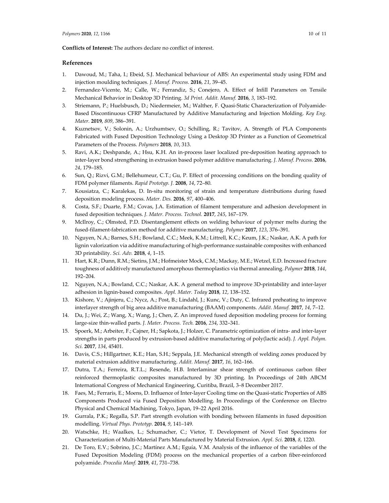**Conflicts of Interest:** The authors declare no conflict of interest.

#### **References**

- 1. Dawoud, M.; Taha, I.; Ebeid, S.J. Mechanical behaviour of ABS: An experimental study using FDM and injection moulding techniques*. J. Manuf. Process.* **2016**, *21*, 39–45.
- 2. Fernandez-Vicente, M.; Calle, W.; Ferrandiz, S.; Conejero, A. Effect of Infill Parameters on Tensile Mechanical Behavior in Desktop 3D Printing. *3d Print. Addit. Manuf.* **2016**, *3*, 183–192.
- 3. Striemann, P.; Huelsbusch, D.; Niedermeier, M.; Walther, F. Quasi-Static Characterization of Polyamide-Based Discontinuous CFRP Manufactured by Additive Manufacturing and Injection Molding. *Key Eng. Mater.* **2019**, *809*, 386–391.
- 4. Kuznetsov, V.; Solonin, A.; Urzhumtsev, O.; Schilling, R.; Tavitov, A. Strength of PLA Components Fabricated with Fused Deposition Technology Using a Desktop 3D Printer as a Function of Geometrical Parameters of the Process. *Polymers* **2018**, *10*, 313.
- 5. Ravi, A.K.; Deshpande, A.; Hsu, K.H. An in‐process laser localized pre‐deposition heating approach to inter‐layer bond strengthening in extrusion based polymer additive manufacturing. *J. Manuf. Process.* **2016**, *24*, 179–185.
- 6. Sun, Q.; Rizvi, G.M.; Bellehumeur, C.T.; Gu, P. Effect of processing conditions on the bonding quality of FDM polymer filaments. *Rapid Prototyp. J.* **2008**, *14*, 72–80.
- 7. Kousiatza, C.; Karalekas, D. In‐situ monitoring of strain and temperature distributions during fused deposition modeling process. *Mater. Des.* **2016**, *97*, 400–406.
- 8. Costa, S.F.; Duarte, F.M.; Covas, J.A. Estimation of filament temperature and adhesion development in fused deposition techniques. *J. Mater. Process. Technol.* **2017**, *245*, 167–179.
- 9. McIlroy, C.; Olmsted, P.D. Disentanglement effects on welding behaviour of polymer melts during the fused‐filament‐fabrication method for additive manufacturing. *Polymer* **2017**, *123*, 376–391.
- 10. Nguyen, N.A.; Barnes, S.H.; Bowland, C.C.; Meek, K.M.; Littrell, K.C.; Keum, J.K.; Naskar, A.K. A path for lignin valorization via additive manufacturing of high‐performance sustainable composites with enhanced 3D printability. *Sci. Adv.* **2018**, *4*, 1–15.
- 11. Hart, K.R.; Dunn, R.M.; Sietins, J.M.; Hofmeister Mock, C.M.; Mackay, M.E.; Wetzel, E.D. Increased fracture toughness of additively manufactured amorphous thermoplastics via thermal annealing. *Polymer* **2018**, *144*, 192–204.
- 12. Nguyen, N.A.; Bowland, C.C.; Naskar, A.K. A general method to improve 3D‐printability and inter‐layer adhesion in lignin‐based composites. *Appl. Mater. Today* **2018**, *12*, 138–152.
- 13. Kishore, V.; Ajinjeru, C.; Nycz, A.; Post, B.; Lindahl, J.; Kunc, V.; Duty, C. Infrared preheating to improve interlayer strength of big area additive manufacturing (BAAM) components. *Addit. Manuf.* **2017**, *14*, 7–12.
- 14. Du, J.; Wei, Z.; Wang, X.; Wang, J.; Chen, Z. An improved fused deposition modeling process for forming large‐size thin‐walled parts. *J. Mater. Process. Tech.* **2016**, *234*, 332–341.
- 15. Spoerk, M.; Arbeiter, F.; Cajner, H.; Sapkota, J.; Holzer, C. Parametric optimization of intra‐ and inter‐layer strengths in parts produced by extrusion‐based additive manufacturing of poly(lactic acid). *J. Appl. Polym. Sci.* **2017**, *134*, 45401.
- 16. Davis, C.S.; Hillgartner, K.E.; Han, S.H.; Seppala, J.E. Mechanical strength of welding zones produced by material extrusion additive manufacturing. *Addit. Manuf.* **2017**, *16*, 162–166.
- 17. Dutra, T.A.; Ferreira, R.T.L.; Resende, H.B. Interlaminar shear strength of continuous carbon fiber reinforced thermoplastic composites manufactured by 3D printing. In Proceedings of 24th ABCM International Congress of Mechanical Engineering, Curitiba, Brazil, 3–8 December 2017.
- 18. Faes, M.; Ferraris, E.; Moens, D. Influence of Inter-layer Cooling time on the Quasi-static Properties of ABS Components Produced via Fused Deposition Modelling. In Proceedings of the Conference on Electro Physical and Chemical Machining, Tokyo, Japan, 19–22 April 2016.
- 19. Gurrala, P.K.; Regalla, S.P. Part strength evolution with bonding between filaments in fused deposition modelling. *Virtual Phys. Prototyp.* **2014**, *9*, 141–149.
- 20. Watschke, H.; Waalkes, L.; Schumacher, C.; Vietor, T. Development of Novel Test Specimens for Characterization of Multi‐Material Parts Manufactured by Material Extrusion. *Appl. Sci.* **2018**, *8*, 1220.
- 21. De Toro, E.V.; Sobrino, J.C.; Martínez A.M.; Eguía, V.M. Analysis of the influence of the variables of the Fused Deposition Modeling (FDM) process on the mechanical properties of a carbon fiber-reinforced polyamide. *Procedia Manf.* **2019**, *41*, 731–738.